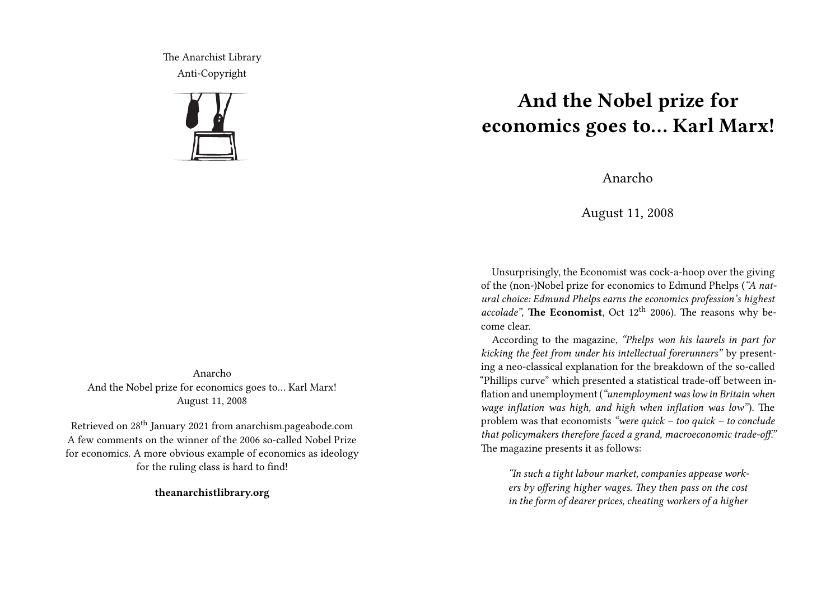The Anarchist Library Anti-Copyright



Anarcho And the Nobel prize for economics goes to… Karl Marx! August 11, 2008

Retrieved on 28th January 2021 from anarchism.pageabode.com A few comments on the winner of the 2006 so-called Nobel Prize for economics. A more obvious example of economics as ideology for the ruling class is hard to find!

**theanarchistlibrary.org**

## **And the Nobel prize for economics goes to… Karl Marx!**

Anarcho

August 11, 2008

Unsurprisingly, the Economist was cock-a-hoop over the giving of the (non-)Nobel prize for economics to Edmund Phelps (*"A natural choice: Edmund Phelps earns the economics profession's highest accolade"*, **The Economist**, Oct 12<sup>th</sup> 2006). The reasons why become clear.

According to the magazine, *"Phelps won his laurels in part for kicking the feet from under his intellectual forerunners"* by presenting a neo-classical explanation for the breakdown of the so-called "Phillips curve" which presented a statistical trade-off between inflation and unemployment (*"unemployment was low in Britain when wage inflation was high, and high when inflation was low"*). The problem was that economists *"were quick – too quick – to conclude that policymakers therefore faced a grand, macroeconomic trade-off."* The magazine presents it as follows:

*"In such a tight labour market, companies appease workers by offering higher wages. They then pass on the cost in the form of dearer prices, cheating workers of a higher*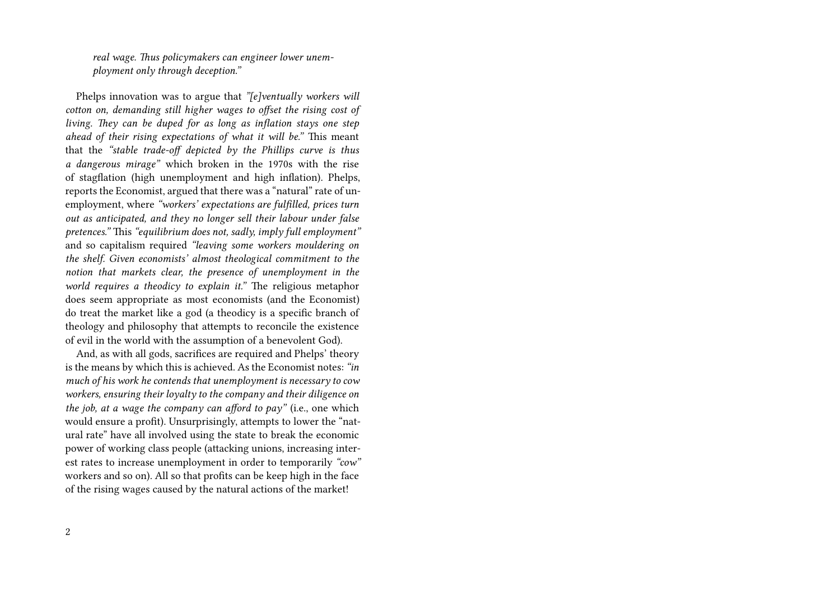*real wage. Thus policymakers can engineer lower unemployment only through deception."*

Phelps innovation was to argue that *"[e]ventually workers will cotton on, demanding still higher wages to offset the rising cost of living. They can be duped for as long as inflation stays one step ahead of their rising expectations of what it will be."* This meant that the *"stable trade-off depicted by the Phillips curve is thus a dangerous mirage"* which broken in the 1970s with the rise of stagflation (high unemployment and high inflation). Phelps, reports the Economist, argued that there was a "natural" rate of unemployment, where *"workers' expectations are fulfilled, prices turn out as anticipated, and they no longer sell their labour under false pretences."* This *"equilibrium does not, sadly, imply full employment"* and so capitalism required *"leaving some workers mouldering on the shelf. Given economists' almost theological commitment to the notion that markets clear, the presence of unemployment in the world requires a theodicy to explain it."* The religious metaphor does seem appropriate as most economists (and the Economist) do treat the market like a god (a theodicy is a specific branch of theology and philosophy that attempts to reconcile the existence of evil in the world with the assumption of a benevolent God).

And, as with all gods, sacrifices are required and Phelps' theory is the means by which this is achieved. As the Economist notes: *"in much of his work he contends that unemployment is necessary to cow workers, ensuring their loyalty to the company and their diligence on the job, at a wage the company can afford to pay"* (i.e., one which would ensure a profit). Unsurprisingly, attempts to lower the "natural rate" have all involved using the state to break the economic power of working class people (attacking unions, increasing interest rates to increase unemployment in order to temporarily *"cow"* workers and so on). All so that profits can be keep high in the face of the rising wages caused by the natural actions of the market!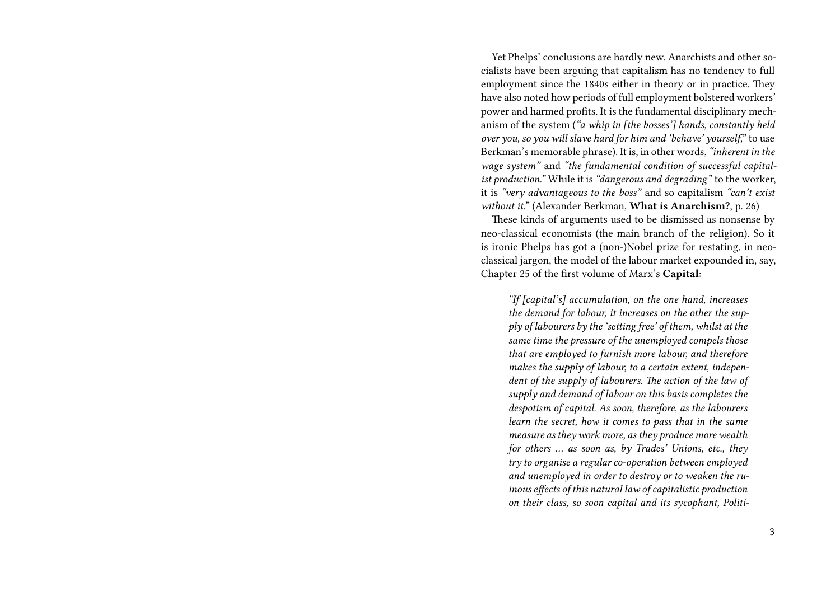Yet Phelps' conclusions are hardly new. Anarchists and other socialists have been arguing that capitalism has no tendency to full employment since the 1840s either in theory or in practice. They have also noted how periods of full employment bolstered workers' power and harmed profits. It is the fundamental disciplinary mechanism of the system (*"a whip in [the bosses'] hands, constantly held over you, so you will slave hard for him and 'behave' yourself,"* to use Berkman's memorable phrase). It is, in other words,*"inherent in the wage system"* and *"the fundamental condition of successful capitalist production."* While it is *"dangerous and degrading"* to the worker, it is *"very advantageous to the boss"* and so capitalism *"can't exist without it."* (Alexander Berkman, **What is Anarchism?**, p. 26)

These kinds of arguments used to be dismissed as nonsense by neo-classical economists (the main branch of the religion). So it is ironic Phelps has got a (non-)Nobel prize for restating, in neoclassical jargon, the model of the labour market expounded in, say, Chapter 25 of the first volume of Marx's **Capital**:

*"If [capital's] accumulation, on the one hand, increases the demand for labour, it increases on the other the supply of labourers by the 'setting free' of them, whilst at the same time the pressure of the unemployed compels those that are employed to furnish more labour, and therefore makes the supply of labour, to a certain extent, independent of the supply of labourers. The action of the law of supply and demand of labour on this basis completes the despotism of capital. As soon, therefore, as the labourers learn the secret, how it comes to pass that in the same measure as they work more, as they produce more wealth for others … as soon as, by Trades' Unions, etc., they try to organise a regular co-operation between employed and unemployed in order to destroy or to weaken the ruinous effects of this natural law of capitalistic production on their class, so soon capital and its sycophant, Politi-*